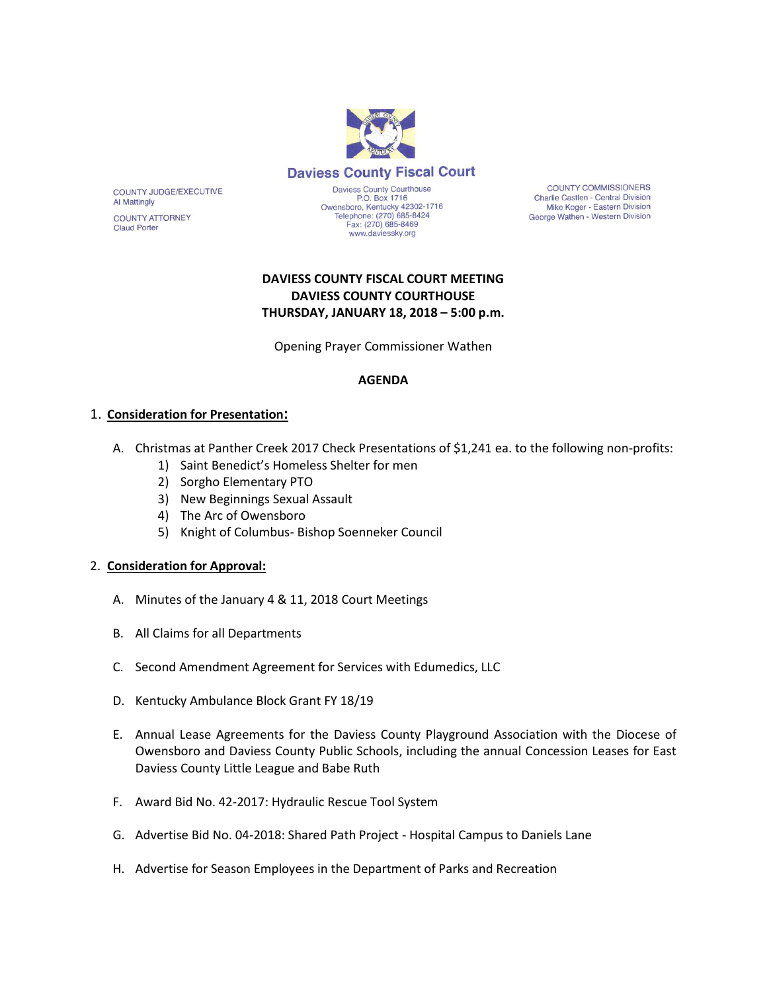

COUNTY JUDGE/EXECUTIVE Al Mattingly

**COUNTY ATTORNEY Claud Porter** 

Daviess County Courthouse P.O. Box 1716 P.O. Box 1716<br>Owensboro, Kentucky 42302-1716<br>Telephone: (270) 685-8424 Fax: (270) 685-8469 www.daviessky.org

**COUNTY COMMISSIONERS** Charlie Castlen - Central Division Mike Koger - Eastern Division George Wathen - Western Division

# **DAVIESS COUNTY FISCAL COURT MEETING DAVIESS COUNTY COURTHOUSE THURSDAY, JANUARY 18, 2018 – 5:00 p.m.**

Opening Prayer Commissioner Wathen

### **AGENDA**

### 1. **Consideration for Presentation:**

- A. Christmas at Panther Creek 2017 Check Presentations of \$1,241 ea. to the following non-profits:
	- 1) Saint Benedict's Homeless Shelter for men
	- 2) Sorgho Elementary PTO
	- 3) New Beginnings Sexual Assault
	- 4) The Arc of Owensboro
	- 5) Knight of Columbus- Bishop Soenneker Council

### 2. **Consideration for Approval:**

- A. Minutes of the January 4 & 11, 2018 Court Meetings
- B. All Claims for all Departments
- C. Second Amendment Agreement for Services with Edumedics, LLC
- D. Kentucky Ambulance Block Grant FY 18/19
- E. Annual Lease Agreements for the Daviess County Playground Association with the Diocese of Owensboro and Daviess County Public Schools, including the annual Concession Leases for East Daviess County Little League and Babe Ruth
- F. Award Bid No. 42-2017: Hydraulic Rescue Tool System
- G. Advertise Bid No. 04-2018: Shared Path Project Hospital Campus to Daniels Lane
- H. Advertise for Season Employees in the Department of Parks and Recreation